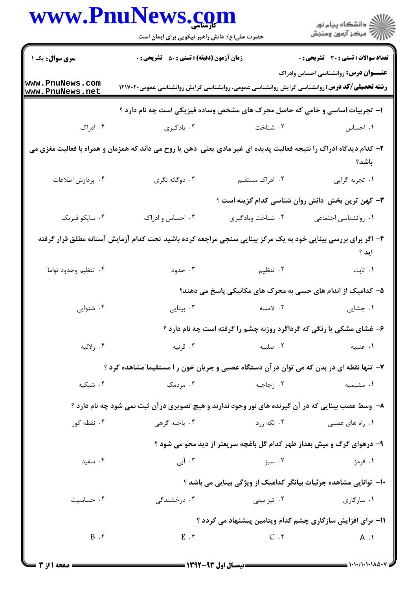|                                                            | WWW.PNUINeWS. <u>co</u> m<br>حضرت علی(ع): دانش راهبر نیکویی برای ایمان است                                          |                                                                        | ڪ دانشڪاه پيام نور<br>ر∕ آزمون وسنڊش             |  |
|------------------------------------------------------------|---------------------------------------------------------------------------------------------------------------------|------------------------------------------------------------------------|--------------------------------------------------|--|
| سری سوال: یک ۱                                             | <b>زمان آزمون (دقیقه) : تستی : 50 ٪ تشریحی : 0</b>                                                                  |                                                                        | <b>تعداد سوالات : تستی : 30 ٪ تشریحی : 0</b>     |  |
| www.PnuNews.com<br>www.PnuNews.net                         | <b>رشته تحصیلی/کد درس: ر</b> وانشناسی گرایش روانشناسی عمومی، روانشناسی گرایش روانشناسی عمومی۱۲۱۷۰۲۰                 |                                                                        | <b>عنـــوان درس:</b> روانشناسی احساس وادراک      |  |
|                                                            | ا– تجربیات اساسی و خامی که حاصل محرک های مشخص وساده فیزیکی است چه نام دارد ؟                                        |                                                                        |                                                  |  |
| ۰۴ ادراک                                                   | ۰۳ يادگيري                                                                                                          | ۰۲ شناخت                                                               | ۰۱ احساس                                         |  |
|                                                            | ۲- کدام دیدگاه ادراک را نتیجه فعالیت پدیده ای غیر مادی یعنی ًذهن یا روح می داند که همزمان و همراه با فعالیت مغزی می |                                                                        | باشد؟                                            |  |
| ۰۴ پردازش اطلاعات                                          | ۰۳ دوگانه نگري                                                                                                      | ۰۲ ادراک مستقیم                                                        | ٠١ تجربه گرايي                                   |  |
|                                                            |                                                                                                                     |                                                                        | ۳- کهن ترین بخش دانش روان شناسی کدام گزینه است ؟ |  |
| ۰۴ سایکو فیزیک                                             | ۰۳ احساس و ادراک                                                                                                    | ۰۲ شناخت ويادگيري                                                      | ۰۱ روانشناسی اجتماعی                             |  |
|                                                            | ۴– اگر برای بررسی بینایی خود به یک مرکز بینایی سنجی مراجعه کرده باشید تحت کدام آزمایش آستانه مطلق قرار گرفته        |                                                                        | اید ؟                                            |  |
| ۰۴ تنظیم وحدود تواما"                                      | ۰۳ حدود                                                                                                             | ۲. تنظیم                                                               | ٠١ ثابت                                          |  |
|                                                            |                                                                                                                     | ۵– کدامیک از اندام های حسی به محرک های مکانیکی پاسخ می دهند؟           |                                                  |  |
| ۰۴ شنوایی                                                  | بينايى $\cdot$                                                                                                      | ۲. لامسه                                                               | ۰۱ چشایی                                         |  |
|                                                            |                                                                                                                     | ۶- غشای مشکی یا رنگی که گرداگرد روزنه چشم را گرفته است چه نام دارد ؟   |                                                  |  |
| ۰۴ زلاليه                                                  | ۰۳ قرنیه                                                                                                            | ۰۲ صلبیه                                                               | ۰۱ عنبیه                                         |  |
|                                                            | ۷- تنها نقطه ای در بدن که می توان درآن دستگاه عصبی و جریان خون ر ا مستقیما ّمشاهده کرد ؟                            |                                                                        |                                                  |  |
| ۰۴ شبکیه                                                   | ۰۳ مردمک                                                                                                            | ۰۲ زجاجیه                                                              | ۰۱ مشیمیه                                        |  |
|                                                            | ۸- وسط عصب بینایی که در آن گیرنده های نور وجود ندارند و هیچ تصویری درآن ثبت نمی شود چه نام دارد ؟                   |                                                                        |                                                  |  |
| ۰۴ نقطه کور                                                | ۰۳ ياخته گرهي                                                                                                       | ۰۲ لکه زرد                                                             | ۰۱ <sub>ر</sub> اه های عصبی                      |  |
|                                                            |                                                                                                                     | ۹- درهوای گرگ و میش بعداز ظهر کدام گل باغچه سریعتر از دید محو می شود ؟ |                                                  |  |
| ۰۴ سفید                                                    | ۰۳ آبی                                                                                                              | ۰۲ سبز                                                                 | ۰۱ قرمز                                          |  |
|                                                            |                                                                                                                     | ∙ا– توانایی مشاهده جزئیات بیانگر کدامیک از ویژگی بینایی می باشد ؟      |                                                  |  |
| ۰۴ حساسیت                                                  | ۰۳ درخشندگ <i>ی</i>                                                                                                 | ۰۲ تیز بینی                                                            | ۰۱ سازگاری                                       |  |
| 11- برای افزایش سازگاری چشم کدام ویتامین پیشنهاد می گردد ؟ |                                                                                                                     |                                                                        |                                                  |  |
| B.5                                                        | $E \cdot r$                                                                                                         | C.7                                                                    | $A \cdot Y$                                      |  |

 $\blacksquare$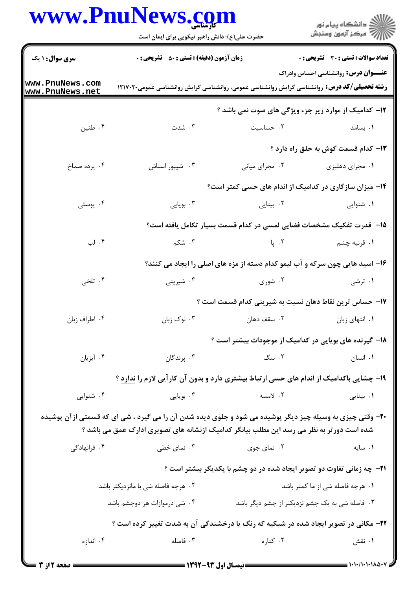|                                                                                                                                                                                                        | www.PnuNews.com<br>حضرت علی(ع): دانش راهبر نیکویی برای ایمان است                                   |                | ِ<br>∭ دانشڪاه پيام نور<br>∭ مرڪز آزمون وسنڊش                                               |  |
|--------------------------------------------------------------------------------------------------------------------------------------------------------------------------------------------------------|----------------------------------------------------------------------------------------------------|----------------|---------------------------------------------------------------------------------------------|--|
|                                                                                                                                                                                                        |                                                                                                    |                |                                                                                             |  |
| <b>سری سوال :</b> ۱ یک                                                                                                                                                                                 | <b>زمان آزمون (دقیقه) : تستی : 50 ٪ تشریحی : 0</b>                                                 |                | <b>تعداد سوالات : تستي : 30 ٪ تشريحي : 0</b><br><b>عنـــوان درس:</b> روانشناسی احساس وادراک |  |
| www.PnuNews.com<br>www.PnuNews.net                                                                                                                                                                     | <b>رشته تحصیلی/کد درس:</b> روانشناسی گرایش روانشناسی عمومی، روانشناسی گرایش روانشناسی عمومی۱۲۱۷۰۲۰ |                |                                                                                             |  |
|                                                                                                                                                                                                        |                                                                                                    |                | ۱۲- کدامیک از موارد زیر جزء ویژگی های صوت <u>نمی</u> باشد ؟                                 |  |
| ۰۴ طنين                                                                                                                                                                                                | ۰۳ شدت                                                                                             | ۰۲ حساسیت      | <b>۰۱</b> بسامد است.                                                                        |  |
|                                                                                                                                                                                                        |                                                                                                    |                | ۱۳– کدام قسمت گوش به حلق راه دارد ؟                                                         |  |
| ۰۴ پرده صماخ                                                                                                                                                                                           | ۰۳ شیپور استاش                                                                                     | ۰۲ مجرای میانی | ۰۱ مجرای دهلیزی                                                                             |  |
|                                                                                                                                                                                                        |                                                                                                    |                | ۱۴– میزان سازگاری در کدامیک از اندام های حسی کمتر است؟                                      |  |
| ۰۴ پوستی                                                                                                                                                                                               | ۰۳ بویایی                                                                                          | ۰۲ بینایی      | ۰۱ شنوایی                                                                                   |  |
|                                                                                                                                                                                                        | 1۵– قدرت تفکیک مشخصات فضایی لمسی در کدام قسمت بسیار تکامل یافته است؟                               |                |                                                                                             |  |
| ۰۴ لب                                                                                                                                                                                                  | ۰۳ شکم<br>۲. پا                                                                                    |                | ۰۱ قرنیه چشم                                                                                |  |
|                                                                                                                                                                                                        | ۱۶- اسید هایی چون سرکه و آب لیمو کدام دسته از مزه های اصلی را ایجاد می کنند؟                       |                |                                                                                             |  |
| ۰۴ تلخي                                                                                                                                                                                                | ۰۳ شیرینی<br>۰۲ شوری                                                                               |                | ۰۱ ترشی                                                                                     |  |
|                                                                                                                                                                                                        |                                                                                                    |                | ۱۷– حساس ترین نقاط دهان نسبت به شیرینی کدام قسمت است ؟                                      |  |
| ۰۴ اطراف زبان                                                                                                                                                                                          | ۰۳ نوک زبان                                                                                        |                | ۰۱ انتهای زبان مستقف دهان استفادهان                                                         |  |
|                                                                                                                                                                                                        |                                                                                                    |                | ۱۸– گیرنده های بویایی در کدامیک از موجودات بیشتر است ؟                                      |  |
| ۰۴ آبزیان                                                                                                                                                                                              | ۰۳ پرندگان                                                                                         | ۰۲ سگ          | ۰۱ انسان                                                                                    |  |
|                                                                                                                                                                                                        | ۱۹- چشایی باکدامیک از اندام های حسی ارتباط بیشتری دارد و بدون آن کارآیی لازم را ندارد ؟            |                |                                                                                             |  |
| ۰۴ شنوایی                                                                                                                                                                                              | ۰۳ بويايي                                                                                          | ۰۲ لامسه       | ٠١. بينايي                                                                                  |  |
| ۲۰- وقتی چیزی به وسیله چیز دیگر پوشیده می شود و جلوی دیده شدن آن را می گیرد ، شی ای که قسمتی ازآن پوشیده<br>شده است دور تر به نظر می رسد این مطلب بیانگر کدامیک ازنشانه های تصویری ادارک عمق می باشد ؟ |                                                                                                    |                |                                                                                             |  |
| ۰۴ فرانهادگی                                                                                                                                                                                           | ۰۳ نمای خطی                                                                                        | ۰۲ نمای جوی    | ٠١ سايه                                                                                     |  |
|                                                                                                                                                                                                        | <b>۲۱</b> - چه زمانی تفاوت دو تصویر ایجاد شده در دو چشم با یکدیگر بیشتر است ؟                      |                |                                                                                             |  |
|                                                                                                                                                                                                        | ۰۲ هرچه فاصله شی با مانزدیکتر باشد                                                                 |                | ۰۱ هرچه فاصله شی از ما کمتر باشد                                                            |  |
|                                                                                                                                                                                                        | ۰۴ شی درموازات هر دوچشم باشد                                                                       |                | ۰۳ فاصله شی به یک چشم نزدیکتر از چشم دیگر باشد                                              |  |
|                                                                                                                                                                                                        | ۲۲- مکانی در تصویر ایجاد شده در شبکیه که رنگ یا درخشندگی آن به شدت تغییر کرده است ؟                |                |                                                                                             |  |
| ۰۴ اندازه                                                                                                                                                                                              | ۰۳ فاصله                                                                                           | ۰۲ کناره       | ۰۱ نقش                                                                                      |  |
|                                                                                                                                                                                                        |                                                                                                    |                |                                                                                             |  |